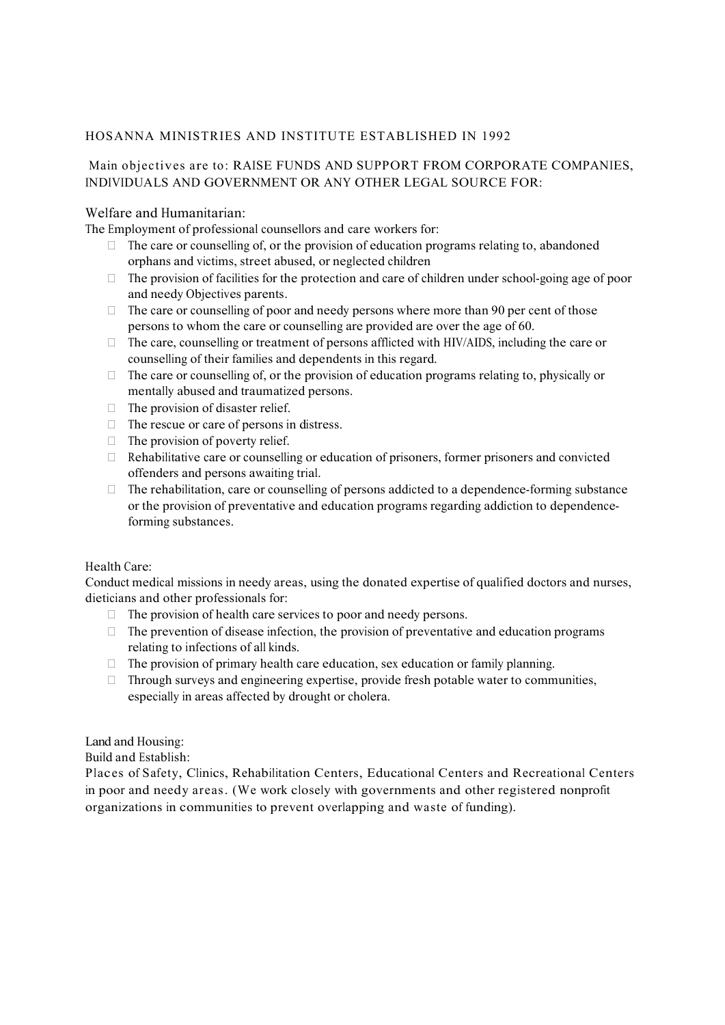### HOSANNA MINISTRIES AND INSTITUTE ESTABLISHED IN 1992

# Main objectives are to: RAISE FUNDS AND SUPPORT FROM CORPORATE COMPANIES, INDIVIDUALS AND GOVERNMENT OR ANY OTHER LEGAL SOURCE FOR:

## Welfare and Humanitarian:

The Employment of professional counsellors and care workers for:

- $\Box$  The care or counselling of, or the provision of education programs relating to, abandoned orphans and victims, street abused, or neglected children
- $\Box$  The provision of facilities for the protection and care of children under school-going age of poor and needy Objectives parents.
- $\Box$  The care or counselling of poor and needy persons where more than 90 per cent of those persons to whom the care or counselling are provided are over the age of 60.
- $\Box$  The care, counselling or treatment of persons afflicted with HIV/AIDS, including the care or counselling of their families and dependents in this regard.
- $\Box$  The care or counselling of, or the provision of education programs relating to, physically or mentally abused and traumatized persons.
- $\Box$  The provision of disaster relief.
- $\Box$  The rescue or care of persons in distress.
- $\Box$  The provision of poverty relief.
- $\Box$  Rehabilitative care or counselling or education of prisoners, former prisoners and convicted offenders and persons awaiting trial.
- $\Box$  The rehabilitation, care or counselling of persons addicted to a dependence-forming substance or the provision of preventative and education programs regarding addiction to dependenceforming substances.<br>Health Care:

Conduct medical missions in needy areas, using the donated expertise of qualified doctors and nurses, dieticians and other professionals for:

- $\Box$  The provision of health care services to poor and needy persons.
- $\Box$  The prevention of disease infection, the provision of preventative and education programs relating to infections of all kinds.
- $\Box$  The provision of primary health care education, sex education or family planning.
- $\Box$  Through surveys and engineering expertise, provide fresh potable water to communities, especially in areas affected by drought or cholera.

Land and Housing:

Build and Establish:

Places of Safety, Clinics, Rehabilitation Centers, Educational Centers and Recreational Centers in poor and needy areas. (We work closely with governments and other registered nonprofit organizations in communities to prevent overlapping and waste of funding).